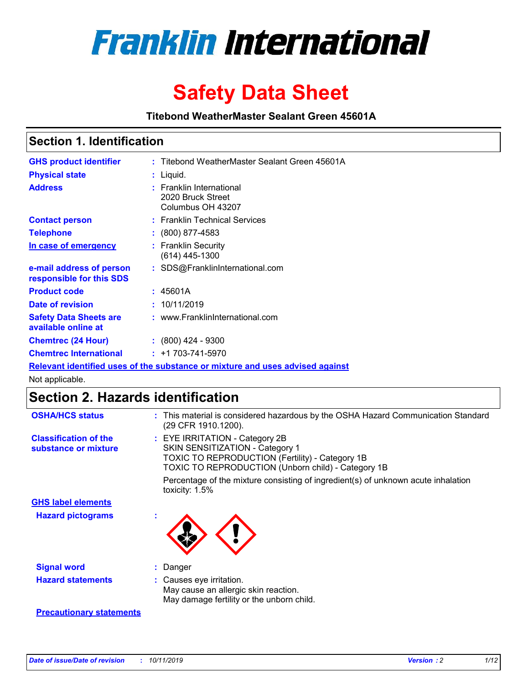

# **Safety Data Sheet**

**Titebond WeatherMaster Sealant Green 45601A**

# **Section 1. Identification**

| <b>GHS product identifier</b>                        | : Titebond WeatherMaster Sealant Green 45601A                                 |
|------------------------------------------------------|-------------------------------------------------------------------------------|
| <b>Physical state</b>                                | : Liquid.                                                                     |
| <b>Address</b>                                       | : Franklin International<br>2020 Bruck Street<br>Columbus OH 43207            |
| <b>Contact person</b>                                | : Franklin Technical Services                                                 |
| <b>Telephone</b>                                     | $\div$ (800) 877-4583                                                         |
| In case of emergency                                 | : Franklin Security<br>$(614)$ 445-1300                                       |
| e-mail address of person<br>responsible for this SDS | : SDS@FranklinInternational.com                                               |
| <b>Product code</b>                                  | : 45601A                                                                      |
| Date of revision                                     | : 10/11/2019                                                                  |
| <b>Safety Data Sheets are</b><br>available online at | : www.FranklinInternational.com                                               |
| <b>Chemtrec (24 Hour)</b>                            | $\div$ (800) 424 - 9300                                                       |
| <b>Chemtrec International</b>                        | $: +1703 - 741 - 5970$                                                        |
|                                                      | Relevant identified uses of the substance or mixture and uses advised against |

Not applicable.

# **Section 2. Hazards identification**

| <b>OSHA/HCS status</b>                               | : This material is considered hazardous by the OSHA Hazard Communication Standard<br>(29 CFR 1910.1200).                                                                          |
|------------------------------------------------------|-----------------------------------------------------------------------------------------------------------------------------------------------------------------------------------|
| <b>Classification of the</b><br>substance or mixture | : EYE IRRITATION - Category 2B<br>SKIN SENSITIZATION - Category 1<br><b>TOXIC TO REPRODUCTION (Fertility) - Category 1B</b><br>TOXIC TO REPRODUCTION (Unborn child) - Category 1B |
|                                                      | Percentage of the mixture consisting of ingredient(s) of unknown acute inhalation<br>toxicity: $1.5\%$                                                                            |
| <b>GHS label elements</b>                            |                                                                                                                                                                                   |
| <b>Hazard pictograms</b>                             |                                                                                                                                                                                   |
| <b>Signal word</b>                                   | : Danger                                                                                                                                                                          |
| <b>Hazard statements</b>                             | : Causes eye irritation.<br>May cause an allergic skin reaction.<br>May damage fertility or the unborn child.                                                                     |
| <b>Precautionary statements</b>                      |                                                                                                                                                                                   |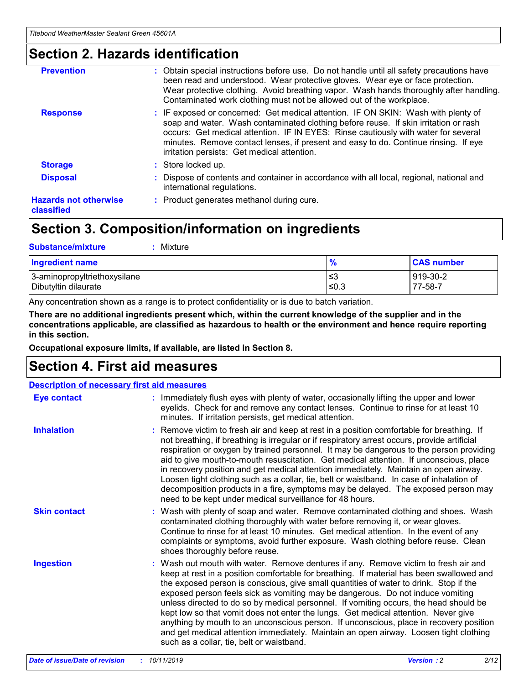# **Section 2. Hazards identification**

| <b>Prevention</b>                          | : Obtain special instructions before use. Do not handle until all safety precautions have<br>been read and understood. Wear protective gloves. Wear eye or face protection.<br>Wear protective clothing. Avoid breathing vapor. Wash hands thoroughly after handling.<br>Contaminated work clothing must not be allowed out of the workplace.                                                        |
|--------------------------------------------|------------------------------------------------------------------------------------------------------------------------------------------------------------------------------------------------------------------------------------------------------------------------------------------------------------------------------------------------------------------------------------------------------|
| <b>Response</b>                            | : IF exposed or concerned: Get medical attention. IF ON SKIN: Wash with plenty of<br>soap and water. Wash contaminated clothing before reuse. If skin irritation or rash<br>occurs: Get medical attention. IF IN EYES: Rinse cautiously with water for several<br>minutes. Remove contact lenses, if present and easy to do. Continue rinsing. If eye<br>irritation persists: Get medical attention. |
| <b>Storage</b>                             | : Store locked up.                                                                                                                                                                                                                                                                                                                                                                                   |
| <b>Disposal</b>                            | : Dispose of contents and container in accordance with all local, regional, national and<br>international regulations.                                                                                                                                                                                                                                                                               |
| <b>Hazards not otherwise</b><br>classified | : Product generates methanol during cure.                                                                                                                                                                                                                                                                                                                                                            |
|                                            |                                                                                                                                                                                                                                                                                                                                                                                                      |

# **Section 3. Composition/information on ingredients**

| <b>Substance/mixture</b><br>: Mixture                |               |                     |
|------------------------------------------------------|---------------|---------------------|
| Ingredient name                                      | $\frac{9}{6}$ | <b>CAS number</b>   |
| 3-aminopropyltriethoxysilane<br>Dibutyltin dilaurate | צ≥<br>≤0.3    | 919-30-2<br>77-58-7 |

Any concentration shown as a range is to protect confidentiality or is due to batch variation.

**There are no additional ingredients present which, within the current knowledge of the supplier and in the concentrations applicable, are classified as hazardous to health or the environment and hence require reporting in this section.**

**Occupational exposure limits, if available, are listed in Section 8.**

# **Section 4. First aid measures**

| <b>Description of necessary first aid measures</b> |                                                                                                                                                                                                                                                                                                                                                                                                                                                                                                                                                                                                                                                                                                                                                                           |  |  |  |
|----------------------------------------------------|---------------------------------------------------------------------------------------------------------------------------------------------------------------------------------------------------------------------------------------------------------------------------------------------------------------------------------------------------------------------------------------------------------------------------------------------------------------------------------------------------------------------------------------------------------------------------------------------------------------------------------------------------------------------------------------------------------------------------------------------------------------------------|--|--|--|
| <b>Eye contact</b>                                 | : Immediately flush eyes with plenty of water, occasionally lifting the upper and lower<br>eyelids. Check for and remove any contact lenses. Continue to rinse for at least 10<br>minutes. If irritation persists, get medical attention.                                                                                                                                                                                                                                                                                                                                                                                                                                                                                                                                 |  |  |  |
| <b>Inhalation</b>                                  | : Remove victim to fresh air and keep at rest in a position comfortable for breathing. If<br>not breathing, if breathing is irregular or if respiratory arrest occurs, provide artificial<br>respiration or oxygen by trained personnel. It may be dangerous to the person providing<br>aid to give mouth-to-mouth resuscitation. Get medical attention. If unconscious, place<br>in recovery position and get medical attention immediately. Maintain an open airway.<br>Loosen tight clothing such as a collar, tie, belt or waistband. In case of inhalation of<br>decomposition products in a fire, symptoms may be delayed. The exposed person may<br>need to be kept under medical surveillance for 48 hours.                                                       |  |  |  |
| <b>Skin contact</b>                                | : Wash with plenty of soap and water. Remove contaminated clothing and shoes. Wash<br>contaminated clothing thoroughly with water before removing it, or wear gloves.<br>Continue to rinse for at least 10 minutes. Get medical attention. In the event of any<br>complaints or symptoms, avoid further exposure. Wash clothing before reuse. Clean<br>shoes thoroughly before reuse.                                                                                                                                                                                                                                                                                                                                                                                     |  |  |  |
| <b>Ingestion</b>                                   | : Wash out mouth with water. Remove dentures if any. Remove victim to fresh air and<br>keep at rest in a position comfortable for breathing. If material has been swallowed and<br>the exposed person is conscious, give small quantities of water to drink. Stop if the<br>exposed person feels sick as vomiting may be dangerous. Do not induce vomiting<br>unless directed to do so by medical personnel. If vomiting occurs, the head should be<br>kept low so that vomit does not enter the lungs. Get medical attention. Never give<br>anything by mouth to an unconscious person. If unconscious, place in recovery position<br>and get medical attention immediately. Maintain an open airway. Loosen tight clothing<br>such as a collar, tie, belt or waistband. |  |  |  |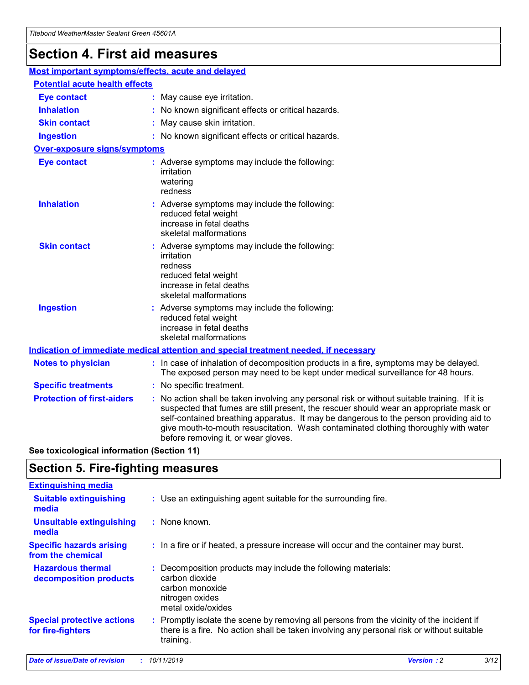# **Section 4. First aid measures**

| Most important symptoms/effects, acute and delayed |  |                                                                                                                                                                                                                                                                                                                                                                                                                 |  |
|----------------------------------------------------|--|-----------------------------------------------------------------------------------------------------------------------------------------------------------------------------------------------------------------------------------------------------------------------------------------------------------------------------------------------------------------------------------------------------------------|--|
| <b>Potential acute health effects</b>              |  |                                                                                                                                                                                                                                                                                                                                                                                                                 |  |
| <b>Eye contact</b>                                 |  | : May cause eye irritation.                                                                                                                                                                                                                                                                                                                                                                                     |  |
| <b>Inhalation</b>                                  |  | : No known significant effects or critical hazards.                                                                                                                                                                                                                                                                                                                                                             |  |
| <b>Skin contact</b>                                |  | : May cause skin irritation.                                                                                                                                                                                                                                                                                                                                                                                    |  |
| <b>Ingestion</b>                                   |  | : No known significant effects or critical hazards.                                                                                                                                                                                                                                                                                                                                                             |  |
| <b>Over-exposure signs/symptoms</b>                |  |                                                                                                                                                                                                                                                                                                                                                                                                                 |  |
| <b>Eye contact</b>                                 |  | : Adverse symptoms may include the following:<br>irritation<br>watering<br>redness                                                                                                                                                                                                                                                                                                                              |  |
| <b>Inhalation</b>                                  |  | : Adverse symptoms may include the following:<br>reduced fetal weight<br>increase in fetal deaths<br>skeletal malformations                                                                                                                                                                                                                                                                                     |  |
| <b>Skin contact</b>                                |  | : Adverse symptoms may include the following:<br>irritation<br>redness<br>reduced fetal weight<br>increase in fetal deaths<br>skeletal malformations                                                                                                                                                                                                                                                            |  |
| <b>Ingestion</b>                                   |  | : Adverse symptoms may include the following:<br>reduced fetal weight<br>increase in fetal deaths<br>skeletal malformations                                                                                                                                                                                                                                                                                     |  |
|                                                    |  | <b>Indication of immediate medical attention and special treatment needed, if necessary</b>                                                                                                                                                                                                                                                                                                                     |  |
| <b>Notes to physician</b>                          |  | : In case of inhalation of decomposition products in a fire, symptoms may be delayed.<br>The exposed person may need to be kept under medical surveillance for 48 hours.                                                                                                                                                                                                                                        |  |
| <b>Specific treatments</b>                         |  | : No specific treatment.                                                                                                                                                                                                                                                                                                                                                                                        |  |
| <b>Protection of first-aiders</b>                  |  | : No action shall be taken involving any personal risk or without suitable training. If it is<br>suspected that fumes are still present, the rescuer should wear an appropriate mask or<br>self-contained breathing apparatus. It may be dangerous to the person providing aid to<br>give mouth-to-mouth resuscitation. Wash contaminated clothing thoroughly with water<br>before removing it, or wear gloves. |  |

**See toxicological information (Section 11)**

# **Section 5. Fire-fighting measures**

| <b>Extinguishing media</b>                             |                                                                                                                                                                                                     |
|--------------------------------------------------------|-----------------------------------------------------------------------------------------------------------------------------------------------------------------------------------------------------|
| <b>Suitable extinguishing</b><br>media                 | : Use an extinguishing agent suitable for the surrounding fire.                                                                                                                                     |
| <b>Unsuitable extinguishing</b><br>media               | : None known.                                                                                                                                                                                       |
| <b>Specific hazards arising</b><br>from the chemical   | : In a fire or if heated, a pressure increase will occur and the container may burst.                                                                                                               |
| <b>Hazardous thermal</b><br>decomposition products     | : Decomposition products may include the following materials:<br>carbon dioxide<br>carbon monoxide<br>nitrogen oxides<br>metal oxide/oxides                                                         |
| <b>Special protective actions</b><br>for fire-fighters | : Promptly isolate the scene by removing all persons from the vicinity of the incident if<br>there is a fire. No action shall be taken involving any personal risk or without suitable<br>training. |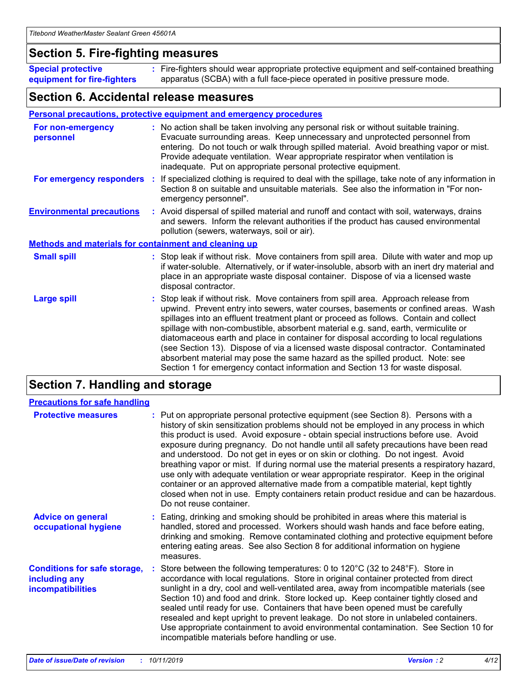# **Section 5. Fire-fighting measures**

**Special protective equipment for fire-fighters** Fire-fighters should wear appropriate protective equipment and self-contained breathing **:** apparatus (SCBA) with a full face-piece operated in positive pressure mode.

# **Section 6. Accidental release measures**

## **Personal precautions, protective equipment and emergency procedures**

| For non-emergency<br>personnel                               |  | : No action shall be taken involving any personal risk or without suitable training.<br>Evacuate surrounding areas. Keep unnecessary and unprotected personnel from<br>entering. Do not touch or walk through spilled material. Avoid breathing vapor or mist.<br>Provide adequate ventilation. Wear appropriate respirator when ventilation is<br>inadequate. Put on appropriate personal protective equipment.                                                                                                                                                                                                                                                                                             |  |  |
|--------------------------------------------------------------|--|--------------------------------------------------------------------------------------------------------------------------------------------------------------------------------------------------------------------------------------------------------------------------------------------------------------------------------------------------------------------------------------------------------------------------------------------------------------------------------------------------------------------------------------------------------------------------------------------------------------------------------------------------------------------------------------------------------------|--|--|
|                                                              |  | For emergency responders : If specialized clothing is required to deal with the spillage, take note of any information in<br>Section 8 on suitable and unsuitable materials. See also the information in "For non-<br>emergency personnel".                                                                                                                                                                                                                                                                                                                                                                                                                                                                  |  |  |
| <b>Environmental precautions</b>                             |  | : Avoid dispersal of spilled material and runoff and contact with soil, waterways, drains<br>and sewers. Inform the relevant authorities if the product has caused environmental<br>pollution (sewers, waterways, soil or air).                                                                                                                                                                                                                                                                                                                                                                                                                                                                              |  |  |
| <b>Methods and materials for containment and cleaning up</b> |  |                                                                                                                                                                                                                                                                                                                                                                                                                                                                                                                                                                                                                                                                                                              |  |  |
| <b>Small spill</b>                                           |  | : Stop leak if without risk. Move containers from spill area. Dilute with water and mop up<br>if water-soluble. Alternatively, or if water-insoluble, absorb with an inert dry material and<br>place in an appropriate waste disposal container. Dispose of via a licensed waste<br>disposal contractor.                                                                                                                                                                                                                                                                                                                                                                                                     |  |  |
| <b>Large spill</b>                                           |  | : Stop leak if without risk. Move containers from spill area. Approach release from<br>upwind. Prevent entry into sewers, water courses, basements or confined areas. Wash<br>spillages into an effluent treatment plant or proceed as follows. Contain and collect<br>spillage with non-combustible, absorbent material e.g. sand, earth, vermiculite or<br>diatomaceous earth and place in container for disposal according to local regulations<br>(see Section 13). Dispose of via a licensed waste disposal contractor. Contaminated<br>absorbent material may pose the same hazard as the spilled product. Note: see<br>Section 1 for emergency contact information and Section 13 for waste disposal. |  |  |

# **Section 7. Handling and storage**

| <b>Precautions for safe handling</b>                                             |                                                                                                                                                                                                                                                                                                                                                                                                                                                                                                                                                                                                                                                                                                                                                                                                                                                  |
|----------------------------------------------------------------------------------|--------------------------------------------------------------------------------------------------------------------------------------------------------------------------------------------------------------------------------------------------------------------------------------------------------------------------------------------------------------------------------------------------------------------------------------------------------------------------------------------------------------------------------------------------------------------------------------------------------------------------------------------------------------------------------------------------------------------------------------------------------------------------------------------------------------------------------------------------|
| <b>Protective measures</b>                                                       | : Put on appropriate personal protective equipment (see Section 8). Persons with a<br>history of skin sensitization problems should not be employed in any process in which<br>this product is used. Avoid exposure - obtain special instructions before use. Avoid<br>exposure during pregnancy. Do not handle until all safety precautions have been read<br>and understood. Do not get in eyes or on skin or clothing. Do not ingest. Avoid<br>breathing vapor or mist. If during normal use the material presents a respiratory hazard,<br>use only with adequate ventilation or wear appropriate respirator. Keep in the original<br>container or an approved alternative made from a compatible material, kept tightly<br>closed when not in use. Empty containers retain product residue and can be hazardous.<br>Do not reuse container. |
| <b>Advice on general</b><br>occupational hygiene                                 | : Eating, drinking and smoking should be prohibited in areas where this material is<br>handled, stored and processed. Workers should wash hands and face before eating,<br>drinking and smoking. Remove contaminated clothing and protective equipment before<br>entering eating areas. See also Section 8 for additional information on hygiene<br>measures.                                                                                                                                                                                                                                                                                                                                                                                                                                                                                    |
| <b>Conditions for safe storage,</b><br>including any<br><b>incompatibilities</b> | Store between the following temperatures: 0 to $120^{\circ}$ C (32 to $248^{\circ}$ F). Store in<br>accordance with local regulations. Store in original container protected from direct<br>sunlight in a dry, cool and well-ventilated area, away from incompatible materials (see<br>Section 10) and food and drink. Store locked up. Keep container tightly closed and<br>sealed until ready for use. Containers that have been opened must be carefully<br>resealed and kept upright to prevent leakage. Do not store in unlabeled containers.<br>Use appropriate containment to avoid environmental contamination. See Section 10 for<br>incompatible materials before handling or use.                                                                                                                                                     |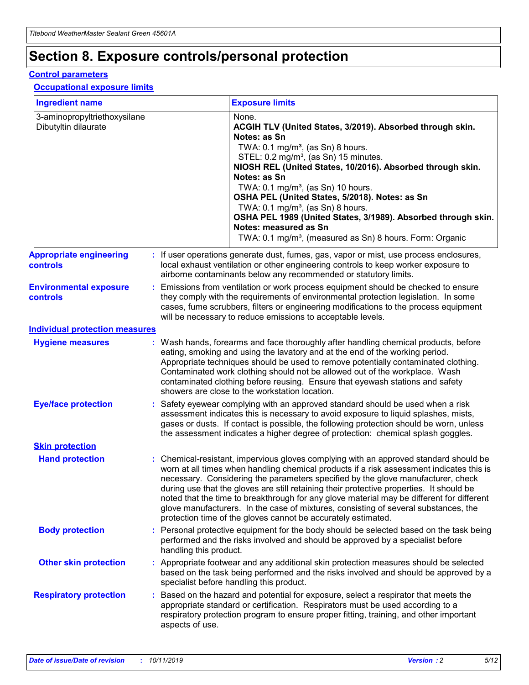# **Section 8. Exposure controls/personal protection**

## **Control parameters**

## **Occupational exposure limits**

| <b>Ingredient name</b>                               |    |                                          | <b>Exposure limits</b>                                                                                                                                                                                                                                                                                                                                                                                                                                                                                                                                                                                                 |
|------------------------------------------------------|----|------------------------------------------|------------------------------------------------------------------------------------------------------------------------------------------------------------------------------------------------------------------------------------------------------------------------------------------------------------------------------------------------------------------------------------------------------------------------------------------------------------------------------------------------------------------------------------------------------------------------------------------------------------------------|
| 3-aminopropyltriethoxysilane<br>Dibutyltin dilaurate |    |                                          | None.<br>ACGIH TLV (United States, 3/2019). Absorbed through skin.<br>Notes: as Sn<br>TWA: 0.1 mg/m <sup>3</sup> , (as Sn) 8 hours.<br>STEL: 0.2 mg/m <sup>3</sup> , (as Sn) 15 minutes.<br>NIOSH REL (United States, 10/2016). Absorbed through skin.<br>Notes: as Sn<br>TWA: 0.1 mg/m <sup>3</sup> , (as Sn) 10 hours.<br>OSHA PEL (United States, 5/2018). Notes: as Sn<br>TWA: $0.1 \text{ mg/m}^3$ , (as Sn) 8 hours.<br>OSHA PEL 1989 (United States, 3/1989). Absorbed through skin.<br>Notes: measured as Sn<br>TWA: 0.1 mg/m <sup>3</sup> , (measured as Sn) 8 hours. Form: Organic                           |
| <b>Appropriate engineering</b><br>controls           |    |                                          | : If user operations generate dust, fumes, gas, vapor or mist, use process enclosures,<br>local exhaust ventilation or other engineering controls to keep worker exposure to<br>airborne contaminants below any recommended or statutory limits.                                                                                                                                                                                                                                                                                                                                                                       |
| <b>Environmental exposure</b><br><b>controls</b>     |    |                                          | Emissions from ventilation or work process equipment should be checked to ensure<br>they comply with the requirements of environmental protection legislation. In some<br>cases, fume scrubbers, filters or engineering modifications to the process equipment<br>will be necessary to reduce emissions to acceptable levels.                                                                                                                                                                                                                                                                                          |
| <b>Individual protection measures</b>                |    |                                          |                                                                                                                                                                                                                                                                                                                                                                                                                                                                                                                                                                                                                        |
| <b>Hygiene measures</b>                              |    |                                          | : Wash hands, forearms and face thoroughly after handling chemical products, before<br>eating, smoking and using the lavatory and at the end of the working period.<br>Appropriate techniques should be used to remove potentially contaminated clothing.<br>Contaminated work clothing should not be allowed out of the workplace. Wash<br>contaminated clothing before reusing. Ensure that eyewash stations and safety<br>showers are close to the workstation location.                                                                                                                                            |
| <b>Eye/face protection</b>                           |    |                                          | : Safety eyewear complying with an approved standard should be used when a risk<br>assessment indicates this is necessary to avoid exposure to liquid splashes, mists,<br>gases or dusts. If contact is possible, the following protection should be worn, unless<br>the assessment indicates a higher degree of protection: chemical splash goggles.                                                                                                                                                                                                                                                                  |
| <b>Skin protection</b>                               |    |                                          |                                                                                                                                                                                                                                                                                                                                                                                                                                                                                                                                                                                                                        |
| <b>Hand protection</b>                               |    |                                          | : Chemical-resistant, impervious gloves complying with an approved standard should be<br>worn at all times when handling chemical products if a risk assessment indicates this is<br>necessary. Considering the parameters specified by the glove manufacturer, check<br>during use that the gloves are still retaining their protective properties. It should be<br>noted that the time to breakthrough for any glove material may be different for different<br>glove manufacturers. In the case of mixtures, consisting of several substances, the<br>protection time of the gloves cannot be accurately estimated. |
| <b>Body protection</b>                               |    | handling this product.                   | Personal protective equipment for the body should be selected based on the task being<br>performed and the risks involved and should be approved by a specialist before                                                                                                                                                                                                                                                                                                                                                                                                                                                |
| <b>Other skin protection</b>                         |    | specialist before handling this product. | : Appropriate footwear and any additional skin protection measures should be selected<br>based on the task being performed and the risks involved and should be approved by a                                                                                                                                                                                                                                                                                                                                                                                                                                          |
| <b>Respiratory protection</b>                        | ÷. | aspects of use.                          | Based on the hazard and potential for exposure, select a respirator that meets the<br>appropriate standard or certification. Respirators must be used according to a<br>respiratory protection program to ensure proper fitting, training, and other important                                                                                                                                                                                                                                                                                                                                                         |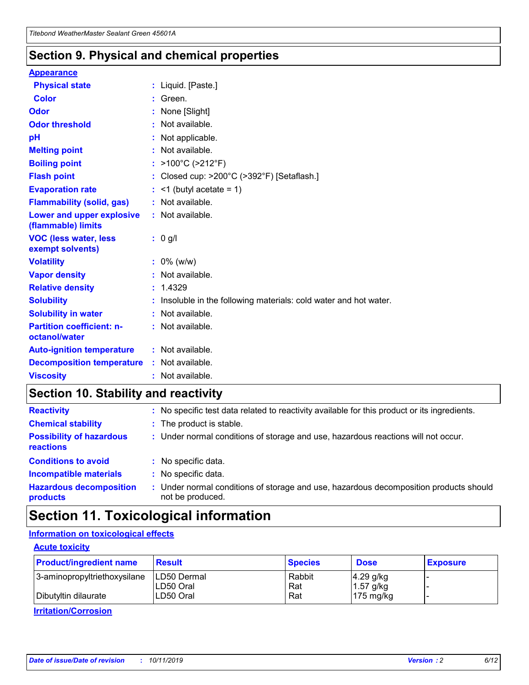# **Section 9. Physical and chemical properties**

#### **Appearance**

| <b>Physical state</b>                             | : Liquid. [Paste.]                                              |
|---------------------------------------------------|-----------------------------------------------------------------|
| Color                                             | Green.                                                          |
| Odor                                              | : None [Slight]                                                 |
| <b>Odor threshold</b>                             | : Not available.                                                |
| рH                                                | : Not applicable.                                               |
| <b>Melting point</b>                              | : Not available.                                                |
| <b>Boiling point</b>                              | : >100°C (>212°F)                                               |
| <b>Flash point</b>                                | : Closed cup: $>200^{\circ}$ C ( $>392^{\circ}$ F) [Setaflash.] |
| <b>Evaporation rate</b>                           | $:$ <1 (butyl acetate = 1)                                      |
| <b>Flammability (solid, gas)</b>                  | : Not available.                                                |
| Lower and upper explosive<br>(flammable) limits   | : Not available.                                                |
| <b>VOC (less water, less</b><br>exempt solvents)  | : 0 g/l                                                         |
| <b>Volatility</b>                                 | $: 0\%$ (w/w)                                                   |
| <b>Vapor density</b>                              | : Not available.                                                |
| <b>Relative density</b>                           | : 1.4329                                                        |
| <b>Solubility</b>                                 | Insoluble in the following materials: cold water and hot water. |
| <b>Solubility in water</b>                        | : Not available.                                                |
| <b>Partition coefficient: n-</b><br>octanol/water | $:$ Not available.                                              |
| <b>Auto-ignition temperature</b>                  | : Not available.                                                |
| <b>Decomposition temperature</b>                  | : Not available.                                                |
|                                                   |                                                                 |

# **Section 10. Stability and reactivity**

| <b>Reactivity</b>                            | : No specific test data related to reactivity available for this product or its ingredients.            |
|----------------------------------------------|---------------------------------------------------------------------------------------------------------|
| <b>Chemical stability</b>                    | : The product is stable.                                                                                |
| <b>Possibility of hazardous</b><br>reactions | : Under normal conditions of storage and use, hazardous reactions will not occur.                       |
| <b>Conditions to avoid</b>                   | : No specific data.                                                                                     |
| <b>Incompatible materials</b>                | : No specific data.                                                                                     |
| <b>Hazardous decomposition</b><br>products   | Under normal conditions of storage and use, hazardous decomposition products should<br>not be produced. |

# **Section 11. Toxicological information**

## **Information on toxicological effects**

## **Acute toxicity**

| <b>Product/ingredient name</b> | <b>Result</b>           | <b>Species</b> | <b>Dose</b>                | <b>Exposure</b> |
|--------------------------------|-------------------------|----------------|----------------------------|-----------------|
| 3-aminopropyltriethoxysilane   | <b>ILD50 Dermal</b>     | Rabbit         | 4.29 g/kg                  |                 |
| Dibutyltin dilaurate           | ILD50 Oral<br>LD50 Oral | Rat<br>Rat     | $1.57$ g/kg<br>175 $mg/kg$ |                 |
|                                |                         |                |                            |                 |

**Irritation/Corrosion**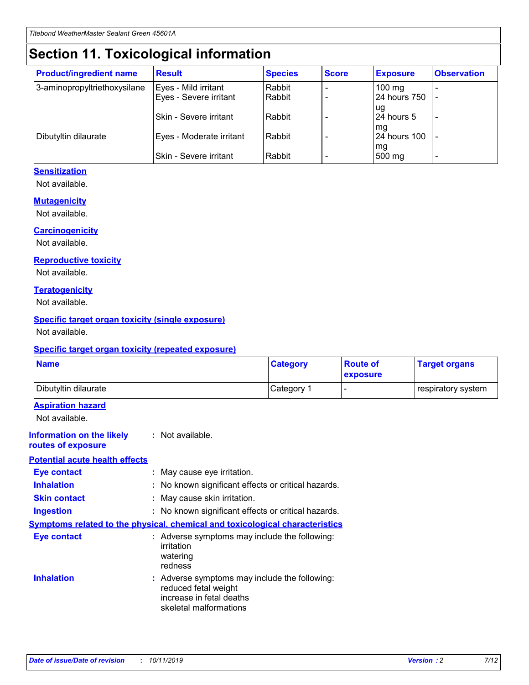# **Section 11. Toxicological information**

| <b>Product/ingredient name</b> | <b>Result</b>            | <b>Species</b> | <b>Score</b> | <b>Exposure</b>           | <b>Observation</b> |
|--------------------------------|--------------------------|----------------|--------------|---------------------------|--------------------|
| 3-aminopropyltriethoxysilane   | Eyes - Mild irritant     | Rabbit         |              | $100$ mg                  |                    |
|                                | Eyes - Severe irritant   | Rabbit         |              | 24 hours 750              |                    |
|                                |                          |                |              | ug                        |                    |
|                                | Skin - Severe irritant   | Rabbit         |              | 24 hours 5                | -                  |
| Dibutyltin dilaurate           | Eyes - Moderate irritant | Rabbit         |              | mq<br><b>24 hours 100</b> |                    |
|                                |                          |                |              | mg                        |                    |
|                                | Skin - Severe irritant   | Rabbit         |              | 500 mg                    |                    |

## **Sensitization**

Not available.

## **Mutagenicity**

Not available.

#### **Carcinogenicity**

Not available.

#### **Reproductive toxicity**

Not available.

#### **Teratogenicity**

Not available.

## **Specific target organ toxicity (single exposure)**

Not available.

#### **Specific target organ toxicity (repeated exposure)**

| <b>Name</b>                                                                  |                                                                                                                             | <b>Category</b> | <b>Route of</b><br>exposure  | <b>Target organs</b> |
|------------------------------------------------------------------------------|-----------------------------------------------------------------------------------------------------------------------------|-----------------|------------------------------|----------------------|
| Dibutyltin dilaurate                                                         |                                                                                                                             | Category 1      | $\qquad \qquad \blacksquare$ | respiratory system   |
| <b>Aspiration hazard</b><br>Not available.                                   |                                                                                                                             |                 |                              |                      |
| <b>Information on the likely</b><br>routes of exposure                       | : Not available.                                                                                                            |                 |                              |                      |
| <b>Potential acute health effects</b>                                        |                                                                                                                             |                 |                              |                      |
| <b>Eye contact</b>                                                           | : May cause eye irritation.                                                                                                 |                 |                              |                      |
| <b>Inhalation</b>                                                            | : No known significant effects or critical hazards.                                                                         |                 |                              |                      |
| <b>Skin contact</b>                                                          | : May cause skin irritation.                                                                                                |                 |                              |                      |
| <b>Ingestion</b>                                                             | : No known significant effects or critical hazards.                                                                         |                 |                              |                      |
| Symptoms related to the physical, chemical and toxicological characteristics |                                                                                                                             |                 |                              |                      |
| <b>Eye contact</b>                                                           | : Adverse symptoms may include the following:<br>irritation<br>watering<br>redness                                          |                 |                              |                      |
| <b>Inhalation</b>                                                            | : Adverse symptoms may include the following:<br>reduced fetal weight<br>increase in fetal deaths<br>skeletal malformations |                 |                              |                      |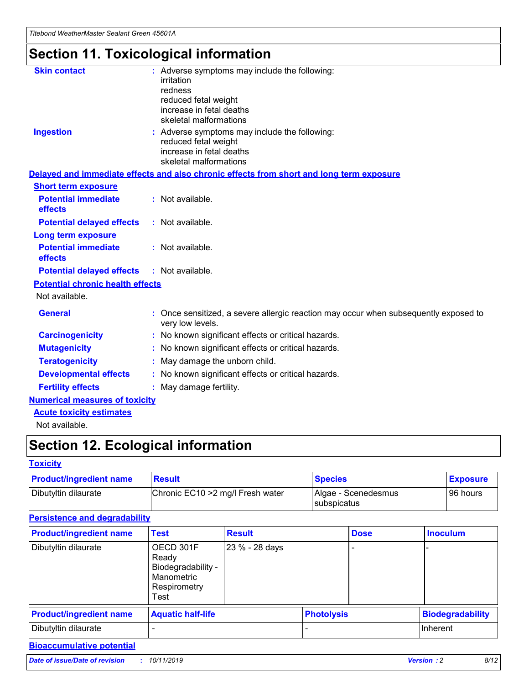# **Section 11. Toxicological information**

| <b>Skin contact</b>                     | : Adverse symptoms may include the following:<br>irritation<br>redness<br>reduced fetal weight<br>increase in fetal deaths<br>skeletal malformations |
|-----------------------------------------|------------------------------------------------------------------------------------------------------------------------------------------------------|
| <b>Ingestion</b>                        | : Adverse symptoms may include the following:<br>reduced fetal weight<br>increase in fetal deaths<br>skeletal malformations                          |
|                                         | Delayed and immediate effects and also chronic effects from short and long term exposure                                                             |
| <b>Short term exposure</b>              |                                                                                                                                                      |
| <b>Potential immediate</b><br>effects   | : Not available.                                                                                                                                     |
| <b>Potential delayed effects</b>        | : Not available.                                                                                                                                     |
| <b>Long term exposure</b>               |                                                                                                                                                      |
| <b>Potential immediate</b><br>effects   | : Not available.                                                                                                                                     |
| <b>Potential delayed effects</b>        | : Not available.                                                                                                                                     |
| <b>Potential chronic health effects</b> |                                                                                                                                                      |
| Not available.                          |                                                                                                                                                      |
| <b>General</b>                          | : Once sensitized, a severe allergic reaction may occur when subsequently exposed to<br>very low levels.                                             |
| <b>Carcinogenicity</b>                  | : No known significant effects or critical hazards.                                                                                                  |
| <b>Mutagenicity</b>                     | No known significant effects or critical hazards.                                                                                                    |
| <b>Teratogenicity</b>                   | May damage the unborn child.                                                                                                                         |
| <b>Developmental effects</b>            | : No known significant effects or critical hazards.                                                                                                  |
| <b>Fertility effects</b>                | : May damage fertility.                                                                                                                              |
| <b>Numerical measures of toxicity</b>   |                                                                                                                                                      |
| <b>Acute toxicity estimates</b>         |                                                                                                                                                      |
| .                                       |                                                                                                                                                      |

Not available.

# **Section 12. Ecological information**

## **Toxicity**

| <b>Product/ingredient name</b> | <b>Result</b>                     | <b>Species</b>                            | <b>Exposure</b> |
|--------------------------------|-----------------------------------|-------------------------------------------|-----------------|
| Dibutyltin dilaurate           | Chronic EC10 > 2 mg/l Fresh water | Algae - Scenedesmus<br><b>Subspicatus</b> | l 96 hours      |

## **Persistence and degradability**

| <b>Product/ingredient name</b> | Test                                                                           | <b>Result</b>  |                   | <b>Dose</b> | <b>Inoculum</b>         |
|--------------------------------|--------------------------------------------------------------------------------|----------------|-------------------|-------------|-------------------------|
| Dibutyltin dilaurate           | OECD 301F<br>Ready<br>Biodegradability -<br>Manometric<br>Respirometry<br>Test | 23 % - 28 days |                   |             |                         |
| <b>Product/ingredient name</b> | <b>Aquatic half-life</b>                                                       |                | <b>Photolysis</b> |             | <b>Biodegradability</b> |
| Dibutyltin dilaurate           |                                                                                |                |                   |             | Inherent                |

## **Bioaccumulative potential**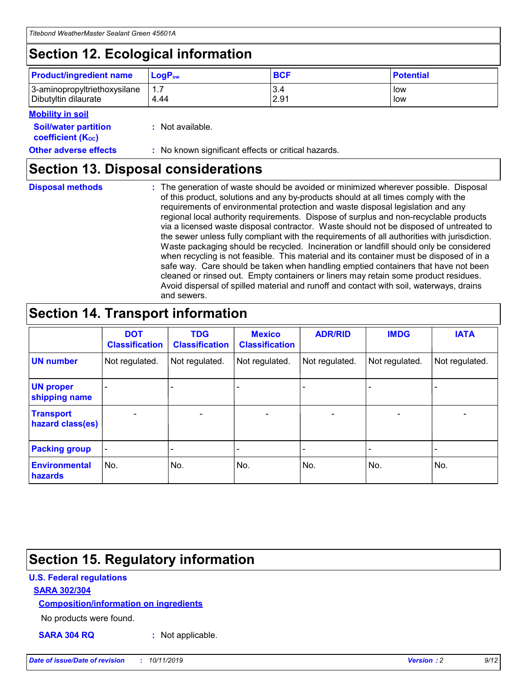# **Section 12. Ecological information**

| <b>Product/ingredient name</b> | $LoaPow$ | <b>BCF</b> | <b>Potential</b> |
|--------------------------------|----------|------------|------------------|
| 3-aminopropyltriethoxysilane   | 1.7      | 3.4        | low              |
| Dibutyltin dilaurate           | 4.44     | 2.91       | low              |

## **Mobility in soil**

| <i></i>                                                       |                                                     |
|---------------------------------------------------------------|-----------------------------------------------------|
| <b>Soil/water partition</b><br>coefficient (K <sub>oc</sub> ) | : Not available.                                    |
| <b>Other adverse effects</b>                                  | : No known significant effects or critical hazards. |

# **Section 13. Disposal considerations**

**Disposal methods :**

The generation of waste should be avoided or minimized wherever possible. Disposal of this product, solutions and any by-products should at all times comply with the requirements of environmental protection and waste disposal legislation and any regional local authority requirements. Dispose of surplus and non-recyclable products via a licensed waste disposal contractor. Waste should not be disposed of untreated to the sewer unless fully compliant with the requirements of all authorities with jurisdiction. Waste packaging should be recycled. Incineration or landfill should only be considered when recycling is not feasible. This material and its container must be disposed of in a safe way. Care should be taken when handling emptied containers that have not been cleaned or rinsed out. Empty containers or liners may retain some product residues. Avoid dispersal of spilled material and runoff and contact with soil, waterways, drains and sewers.

# **Section 14. Transport information**

|                                      | <b>DOT</b><br><b>Classification</b> | <b>TDG</b><br><b>Classification</b> | <b>Mexico</b><br><b>Classification</b> | <b>ADR/RID</b>           | <b>IMDG</b>     | <b>IATA</b>              |
|--------------------------------------|-------------------------------------|-------------------------------------|----------------------------------------|--------------------------|-----------------|--------------------------|
| <b>UN number</b>                     | Not regulated.                      | Not regulated.                      | Not regulated.                         | Not regulated.           | Not regulated.  | Not regulated.           |
| <b>UN proper</b><br>shipping name    | $\qquad \qquad \blacksquare$        |                                     |                                        |                          |                 |                          |
| <b>Transport</b><br>hazard class(es) | $\overline{\phantom{0}}$            | $\qquad \qquad$                     | $\qquad \qquad$                        | $\overline{\phantom{a}}$ | $\qquad \qquad$ | $\overline{\phantom{0}}$ |
| <b>Packing group</b>                 | $\overline{\phantom{a}}$            | -                                   |                                        |                          |                 |                          |
| <b>Environmental</b><br>hazards      | No.                                 | No.                                 | No.                                    | No.                      | No.             | No.                      |

# **Section 15. Regulatory information**

## **U.S. Federal regulations**

## **SARA 302/304**

## **Composition/information on ingredients**

No products were found.

**SARA 304 RQ :** Not applicable.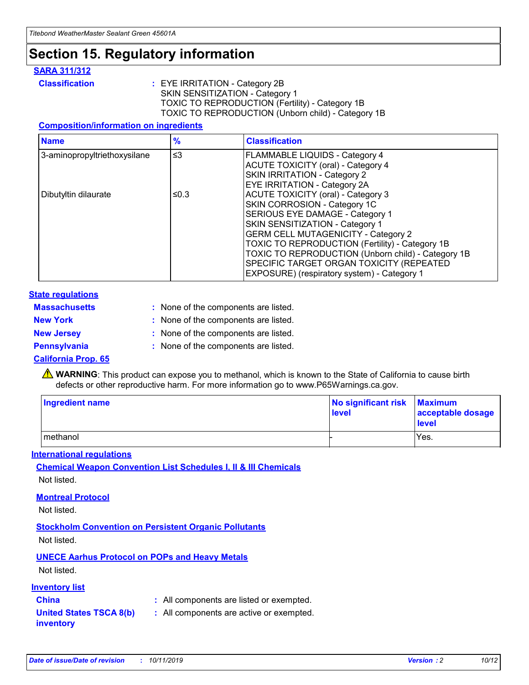# **Section 15. Regulatory information**

## **SARA 311/312**

**Classification :** EYE IRRITATION - Category 2B SKIN SENSITIZATION - Category 1 TOXIC TO REPRODUCTION (Fertility) - Category 1B TOXIC TO REPRODUCTION (Unborn child) - Category 1B

## **Composition/information on ingredients**

| <b>Name</b>                              | $\frac{9}{6}$ | <b>Classification</b>                                                                                            |
|------------------------------------------|---------------|------------------------------------------------------------------------------------------------------------------|
| $\leq$ 3<br>3-aminopropyltriethoxysilane |               | <b>FLAMMABLE LIQUIDS - Category 4</b><br><b>ACUTE TOXICITY (oral) - Category 4</b>                               |
|                                          |               | SKIN IRRITATION - Category 2<br>EYE IRRITATION - Category 2A                                                     |
| Dibutyltin dilaurate                     | ≤0.3          | ACUTE TOXICITY (oral) - Category 3<br>SKIN CORROSION - Category 1C                                               |
|                                          |               | SERIOUS EYE DAMAGE - Category 1<br>SKIN SENSITIZATION - Category 1<br><b>GERM CELL MUTAGENICITY - Category 2</b> |
|                                          |               | TOXIC TO REPRODUCTION (Fertility) - Category 1B<br>TOXIC TO REPRODUCTION (Unborn child) - Category 1B            |
|                                          |               | SPECIFIC TARGET ORGAN TOXICITY (REPEATED<br>EXPOSURE) (respiratory system) - Category 1                          |

## **State regulations**

| <b>Massachusetts</b> | : None of the components are listed. |
|----------------------|--------------------------------------|
| <b>New York</b>      | : None of the components are listed. |
| <b>New Jersey</b>    | : None of the components are listed. |
| <b>Pennsylvania</b>  | : None of the components are listed. |

## **California Prop. 65**

**A** WARNING: This product can expose you to methanol, which is known to the State of California to cause birth defects or other reproductive harm. For more information go to www.P65Warnings.ca.gov.

| <b>Ingredient name</b> | No significant risk Maximum<br>level | acceptable dosage<br>level |
|------------------------|--------------------------------------|----------------------------|
| methanol               |                                      | Yes.                       |

## **International regulations**

**Chemical Weapon Convention List Schedules I, II & III Chemicals** Not listed.

## **Montreal Protocol**

Not listed.

## **Stockholm Convention on Persistent Organic Pollutants**

Not listed.

## **UNECE Aarhus Protocol on POPs and Heavy Metals**

Not listed.

## **Inventory list**

# **China :** All components are listed or exempted.

#### **United States TSCA 8(b) inventory :** All components are active or exempted.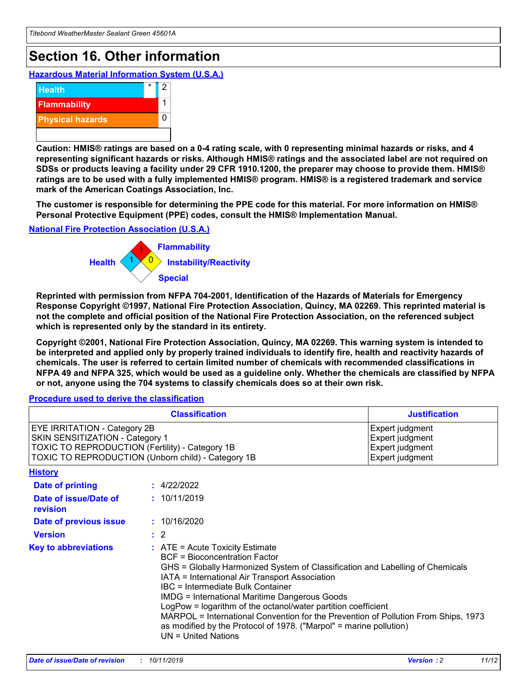# **Section 16. Other information**

**Hazardous Material Information System (U.S.A.)**



**Caution: HMIS® ratings are based on a 0-4 rating scale, with 0 representing minimal hazards or risks, and 4 representing significant hazards or risks. Although HMIS® ratings and the associated label are not required on SDSs or products leaving a facility under 29 CFR 1910.1200, the preparer may choose to provide them. HMIS® ratings are to be used with a fully implemented HMIS® program. HMIS® is a registered trademark and service mark of the American Coatings Association, Inc.**

**The customer is responsible for determining the PPE code for this material. For more information on HMIS® Personal Protective Equipment (PPE) codes, consult the HMIS® Implementation Manual.**

## **National Fire Protection Association (U.S.A.)**



**Reprinted with permission from NFPA 704-2001, Identification of the Hazards of Materials for Emergency Response Copyright ©1997, National Fire Protection Association, Quincy, MA 02269. This reprinted material is not the complete and official position of the National Fire Protection Association, on the referenced subject which is represented only by the standard in its entirety.**

**Copyright ©2001, National Fire Protection Association, Quincy, MA 02269. This warning system is intended to be interpreted and applied only by properly trained individuals to identify fire, health and reactivity hazards of chemicals. The user is referred to certain limited number of chemicals with recommended classifications in NFPA 49 and NFPA 325, which would be used as a guideline only. Whether the chemicals are classified by NFPA or not, anyone using the 704 systems to classify chemicals does so at their own risk.**

#### **Procedure used to derive the classification**

| <b>Classification</b>                                                                                                                                                                  |                                                                                                                                                                                                                                                                   | <b>Justification</b>                                                                                                                                                                                                                                                                                       |  |
|----------------------------------------------------------------------------------------------------------------------------------------------------------------------------------------|-------------------------------------------------------------------------------------------------------------------------------------------------------------------------------------------------------------------------------------------------------------------|------------------------------------------------------------------------------------------------------------------------------------------------------------------------------------------------------------------------------------------------------------------------------------------------------------|--|
| <b>EYE IRRITATION - Category 2B</b><br>SKIN SENSITIZATION - Category 1<br><b>TOXIC TO REPRODUCTION (Fertility) - Category 1B</b><br>TOXIC TO REPRODUCTION (Unborn child) - Category 1B |                                                                                                                                                                                                                                                                   | Expert judgment<br>Expert judgment<br>Expert judgment<br>Expert judgment                                                                                                                                                                                                                                   |  |
| <b>History</b>                                                                                                                                                                         |                                                                                                                                                                                                                                                                   |                                                                                                                                                                                                                                                                                                            |  |
| Date of printing                                                                                                                                                                       | : 4/22/2022                                                                                                                                                                                                                                                       |                                                                                                                                                                                                                                                                                                            |  |
| Date of issue/Date of<br>revision                                                                                                                                                      | : 10/11/2019                                                                                                                                                                                                                                                      |                                                                                                                                                                                                                                                                                                            |  |
| Date of previous issue                                                                                                                                                                 | : 10/16/2020                                                                                                                                                                                                                                                      |                                                                                                                                                                                                                                                                                                            |  |
| <b>Version</b>                                                                                                                                                                         | $\therefore$ 2                                                                                                                                                                                                                                                    |                                                                                                                                                                                                                                                                                                            |  |
| <b>Key to abbreviations</b>                                                                                                                                                            | $\therefore$ ATE = Acute Toxicity Estimate<br><b>BCF</b> = Bioconcentration Factor<br>IATA = International Air Transport Association<br><b>IBC</b> = Intermediate Bulk Container<br><b>IMDG = International Maritime Dangerous Goods</b><br>$UN = United Nations$ | GHS = Globally Harmonized System of Classification and Labelling of Chemicals<br>LogPow = logarithm of the octanol/water partition coefficient<br>MARPOL = International Convention for the Prevention of Pollution From Ships, 1973<br>as modified by the Protocol of 1978. ("Marpol" = marine pollution) |  |